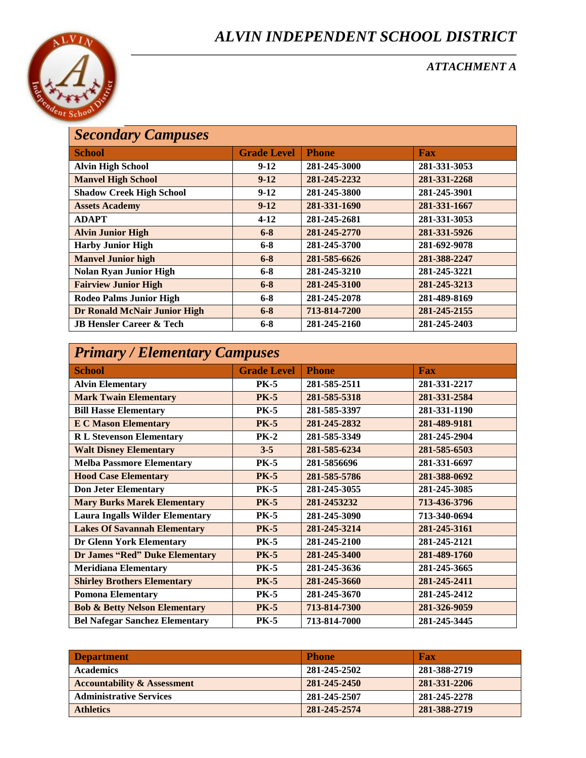## *ALVIN INDEPENDENT SCHOOL DISTRICT*



*ATTACHMENT A* 

## *Secondary Campuses*

| <b>School</b>                       | <b>Grade Level</b> | <b>Phone</b> | <b>Fax</b>   |  |
|-------------------------------------|--------------------|--------------|--------------|--|
| <b>Alvin High School</b>            | $9-12$             | 281-245-3000 | 281-331-3053 |  |
| <b>Manvel High School</b>           | $9 - 12$           | 281-245-2232 | 281-331-2268 |  |
| <b>Shadow Creek High School</b>     | $9-12$             | 281-245-3800 | 281-245-3901 |  |
| <b>Assets Academy</b>               | $9-12$             | 281-331-1690 | 281-331-1667 |  |
| <b>ADAPT</b>                        | $4 - 12$           | 281-245-2681 | 281-331-3053 |  |
| <b>Alvin Junior High</b>            | $6 - 8$            | 281-245-2770 | 281-331-5926 |  |
| <b>Harby Junior High</b>            | $6 - 8$            | 281-245-3700 | 281-692-9078 |  |
| <b>Manvel Junior high</b>           | $6 - 8$            | 281-585-6626 | 281-388-2247 |  |
| <b>Nolan Ryan Junior High</b>       | $6 - 8$            | 281-245-3210 | 281-245-3221 |  |
| <b>Fairview Junior High</b>         | $6 - 8$            | 281-245-3100 | 281-245-3213 |  |
| <b>Rodeo Palms Junior High</b>      | $6 - 8$            | 281-245-2078 | 281-489-8169 |  |
| <b>Dr Ronald McNair Junior High</b> | $6 - 8$            | 713-814-7200 | 281-245-2155 |  |
| <b>JB Hensler Career &amp; Tech</b> | $6 - 8$            | 281-245-2160 | 281-245-2403 |  |
|                                     |                    |              |              |  |

# *Primary / Elementary Campuses*

| <b>School</b>                            | <b>Grade Level</b> | <b>Phone</b> | <b>Fax</b>   |  |  |
|------------------------------------------|--------------------|--------------|--------------|--|--|
| <b>Alvin Elementary</b>                  | <b>PK-5</b>        | 281-585-2511 | 281-331-2217 |  |  |
| <b>Mark Twain Elementary</b>             | <b>PK-5</b>        | 281-585-5318 | 281-331-2584 |  |  |
| <b>Bill Hasse Elementary</b>             | <b>PK-5</b>        | 281-585-3397 | 281-331-1190 |  |  |
| <b>E C Mason Elementary</b>              | <b>PK-5</b>        | 281-245-2832 | 281-489-9181 |  |  |
| <b>R L Stevenson Elementary</b>          | <b>PK-2</b>        | 281-585-3349 | 281-245-2904 |  |  |
| <b>Walt Disney Elementary</b>            | $3 - 5$            | 281-585-6234 | 281-585-6503 |  |  |
| <b>Melba Passmore Elementary</b>         | <b>PK-5</b>        | 281-5856696  | 281-331-6697 |  |  |
| <b>Hood Case Elementary</b>              | <b>PK-5</b>        | 281-585-5786 | 281-388-0692 |  |  |
| <b>Don Jeter Elementary</b>              | <b>PK-5</b>        | 281-245-3055 | 281-245-3085 |  |  |
| <b>Mary Burks Marek Elementary</b>       | <b>PK-5</b>        | 281-2453232  | 713-436-3796 |  |  |
| <b>Laura Ingalls Wilder Elementary</b>   | <b>PK-5</b>        | 281-245-3090 | 713-340-0694 |  |  |
| <b>Lakes Of Savannah Elementary</b>      | <b>PK-5</b>        | 281-245-3214 | 281-245-3161 |  |  |
| <b>Dr Glenn York Elementary</b>          | <b>PK-5</b>        | 281-245-2100 | 281-245-2121 |  |  |
| Dr James "Red" Duke Elementary           | <b>PK-5</b>        | 281-245-3400 | 281-489-1760 |  |  |
| <b>Meridiana Elementary</b>              | <b>PK-5</b>        | 281-245-3636 | 281-245-3665 |  |  |
| <b>Shirley Brothers Elementary</b>       | <b>PK-5</b>        | 281-245-3660 | 281-245-2411 |  |  |
| <b>Pomona Elementary</b>                 | <b>PK-5</b>        | 281-245-3670 | 281-245-2412 |  |  |
| <b>Bob &amp; Betty Nelson Elementary</b> | <b>PK-5</b>        | 713-814-7300 | 281-326-9059 |  |  |
| <b>Bel Nafegar Sanchez Elementary</b>    | <b>PK-5</b>        | 713-814-7000 | 281-245-3445 |  |  |

| <b>Department</b>                      | <b>Phone</b> | <b>Fax</b>   |
|----------------------------------------|--------------|--------------|
| <b>Academics</b>                       | 281-245-2502 | 281-388-2719 |
| <b>Accountability &amp; Assessment</b> | 281-245-2450 | 281-331-2206 |
| <b>Administrative Services</b>         | 281-245-2507 | 281-245-2278 |
| <b>Athletics</b>                       | 281-245-2574 | 281-388-2719 |